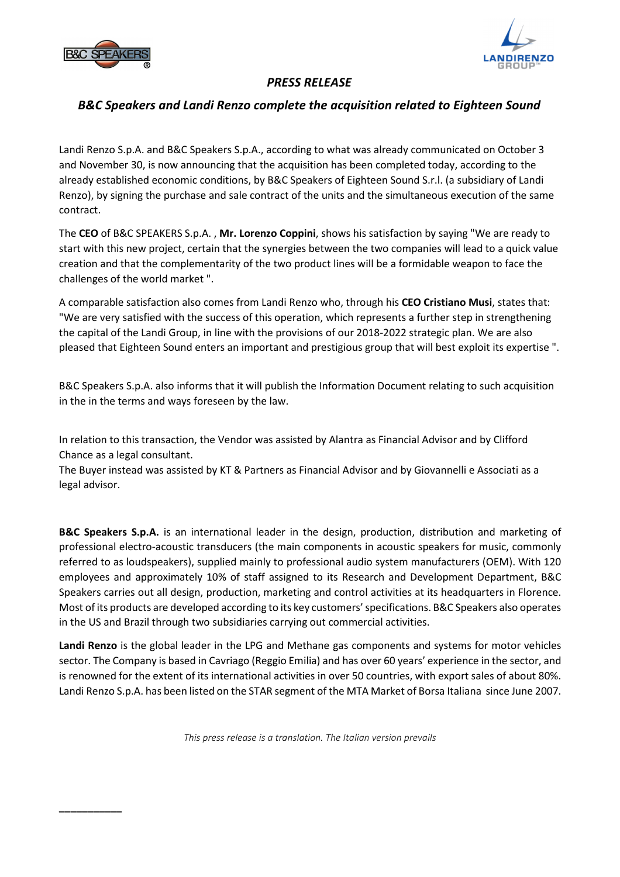

**\_\_\_\_\_\_\_\_\_\_\_** 



## *PRESS RELEASE*

## *B&C Speakers and Landi Renzo complete the acquisition related to Eighteen Sound*

Landi Renzo S.p.A. and B&C Speakers S.p.A., according to what was already communicated on October 3 and November 30, is now announcing that the acquisition has been completed today, according to the already established economic conditions, by B&C Speakers of Eighteen Sound S.r.l. (a subsidiary of Landi Renzo), by signing the purchase and sale contract of the units and the simultaneous execution of the same contract.

The **CEO** of B&C SPEAKERS S.p.A. , **Mr. Lorenzo Coppini**, shows his satisfaction by saying "We are ready to start with this new project, certain that the synergies between the two companies will lead to a quick value creation and that the complementarity of the two product lines will be a formidable weapon to face the challenges of the world market ".

A comparable satisfaction also comes from Landi Renzo who, through his **CEO Cristiano Musi**, states that: "We are very satisfied with the success of this operation, which represents a further step in strengthening the capital of the Landi Group, in line with the provisions of our 2018-2022 strategic plan. We are also pleased that Eighteen Sound enters an important and prestigious group that will best exploit its expertise ".

B&C Speakers S.p.A. also informs that it will publish the Information Document relating to such acquisition in the in the terms and ways foreseen by the law.

In relation to this transaction, the Vendor was assisted by Alantra as Financial Advisor and by Clifford Chance as a legal consultant.

The Buyer instead was assisted by KT & Partners as Financial Advisor and by Giovannelli e Associati as a legal advisor.

**B&C Speakers S.p.A.** is an international leader in the design, production, distribution and marketing of professional electro-acoustic transducers (the main components in acoustic speakers for music, commonly referred to as loudspeakers), supplied mainly to professional audio system manufacturers (OEM). With 120 employees and approximately 10% of staff assigned to its Research and Development Department, B&C Speakers carries out all design, production, marketing and control activities at its headquarters in Florence. Most of its products are developed according to its key customers' specifications. B&C Speakers also operates in the US and Brazil through two subsidiaries carrying out commercial activities.

**Landi Renzo** is the global leader in the LPG and Methane gas components and systems for motor vehicles sector. The Company is based in Cavriago (Reggio Emilia) and has over 60 years' experience in the sector, and is renowned for the extent of its international activities in over 50 countries, with export sales of about 80%. Landi Renzo S.p.A. has been listed on the STAR segment of the MTA Market of Borsa Italiana since June 2007.

*This press release is a translation. The Italian version prevails*